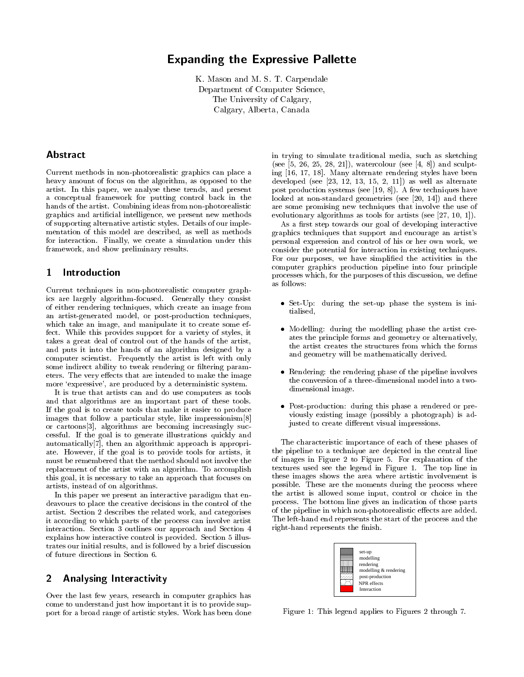# **Expanding the Expressive Pallette**

K. Mason and M. S. T. Carpendale Department of Computer Science, The University of Calgary, Calgary, Alberta, Canada

# Abstract

Current methods in non-photorealistic graphics can place a heavy amount of focus on the algorithm, as opposed to the artist. In this paper, we analyse these trends, and present a conceptual framework for putting control back in the hands of the artist. Combining ideas from non-photorealistic graphics and artificial intelligence, we present new methods of supporting alternative artistic styles. Details of our implementation of this model are described, as well as methods for interaction. Finally, we create a simulation under this framework, and show preliminary results.

### $\mathbf 1$ Introduction

Current techniques in non-photorealistic computer graphics are largely algorithm-focused. Generally they consist of either rendering techniques, which create an image from an artist-generated model, or post-production techniques, which take an image, and manipulate it to create some effect. While this provides support for a variety of styles, it takes a great deal of control out of the hands of the artist. and puts it into the hands of an algorithm designed by a computer scientist. Frequently the artist is left with only some indirect ability to tweak rendering or filtering parameters. The very effects that are intended to make the image more 'expressive', are produced by a deterministic system.

It is true that artists can and do use computers as tools and that algorithms are an important part of these tools. If the goal is to create tools that make it easier to produce images that follow a particular style, like impressionism[8] or cartoons[3], algorithms are becoming increasingly successful. If the goal is to generate illustrations quickly and automatically [7], then an algorithmic approach is appropriate. However, if the goal is to provide tools for artists, it must be remembered that the method should not involve the replacement of the artist with an algorithm. To accomplish this goal, it is necessary to take an approach that focuses on artists, instead of on algorithms.

In this paper we present an interactive paradigm that endeavours to place the creative decisions in the control of the artist. Section 2 describes the related work, and categorises it according to which parts of the process can involve artist interaction. Section 3 outlines our approach and Section 4 explains how interactive control is provided. Section 5 illustrates our initial results, and is followed by a brief discussion of future directions in Section 6.

### $\overline{2}$ **Analysing Interactivity**

Over the last few years, research in computer graphics has come to understand just how important it is to provide support for a broad range of artistic styles. Work has been done

in trying to simulate traditional media, such as sketching (see [5, 26, 25, 28, 21]), watercolour (see [4, 8]) and sculpting [16, 17, 18]. Many alternate rendering styles have been developed (see  $[23, 12, 13, 15, 2, 11]$ ) as well as alternate post production systems (see [19, 8]). A few techniques have looked at non-standard geometries (see [20, 14]) and there are some promising new techniques that involve the use of evolutionary algorithms as tools for artists (see [27, 10, 1]).

As a first step towards our goal of developing interactive graphics techniques that support and encourage an artist's personal expression and control of his or her own work, we consider the potential for interaction in existing techniques. For our purposes, we have simplified the activities in the computer graphics production pipeline into four principle processes which, for the purposes of this discussion, we define as follows:

- Set-Up: during the set-up phase the system is initialised,
- Modelling: during the modelling phase the artist creates the principle forms and geometry or alternatively, the artist creates the structures from which the forms and geometry will be mathematically derived.
- Rendering: the rendering phase of the pipeline involves the conversion of a three-dimensional model into a twodimensional image.
- Post-production: during this phase a rendered or previously existing image (possibly a photograph) is adjusted to create different visual impressions.

The characteristic importance of each of these phases of the pipeline to a technique are depicted in the central line of images in Figure 2 to Figure 5. For explanation of the textures used see the legend in Figure 1. The top line in these images shows the area where artistic involvement is possible. These are the moments during the process where the artist is allowed some input, control or choice in the process. The bottom line gives an indication of those parts of the pipeline in which non-photorealistic effects are added. The left-hand end represents the start of the process and the right-hand represents the finish.



Figure 1: This legend applies to Figures 2 through 7.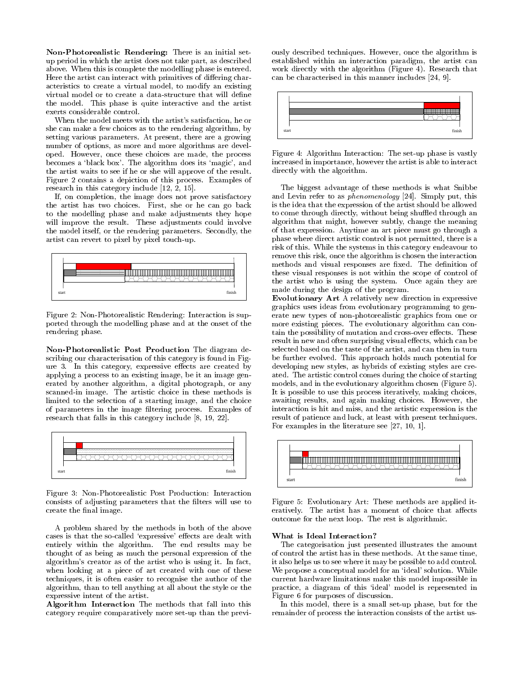Non-Photorealistic Rendering: There is an initial setup period in which the artist does not take part, as described above. When this is complete the modelling phase is entered. Here the artist can interact with primitives of differing characteristics to create a virtual model, to modify an existing virtual model or to create a data-structure that will define the model. This phase is quite interactive and the artist exerts considerable control.

When the model meets with the artist's satisfaction, he or she can make a few choices as to the rendering algorithm, by setting various parameters. At present, there are a growing number of options, as more and more algorithms are developed. However, once these choices are made, the process becomes a 'black box'. The algorithm does its 'magic', and the artist waits to see if he or she will approve of the result. Figure 2 contains a depiction of this process. Examples of research in this category include  $[12, 2, 15]$ .

If, on completion, the image does not prove satisfactory the artist has two choices. First, she or he can go back to the modelling phase and make adjustments they hope will improve the result. These adjustments could involve the model itself, or the rendering parameters. Secondly, the artist can revert to pixel by pixel touch-up.



Figure 2: Non-Photorealistic Rendering: Interaction is supported through the modelling phase and at the onset of the rendering phase.

Non-Photorealistic Post Production The diagram describing our characterisation of this category is found in Figure 3. In this category, expressive effects are created by applying a process to an existing image, be it an image generated by another algorithm, a digital photograph, or any scanned in image. The artistic choice in these methods is limited to the selection of a starting image, and the choice of parameters in the image filtering process. Examples of research that falls in this category include [8, 19, 22].



Figure 3: Non-Photorealistic Post Production: Interaction consists of adjusting parameters that the filters will use to create the final image.

A problem shared by the methods in both of the above cases is that the so-called 'expressive' effects are dealt with entirely within the algorithm. The end results may be thought of as being as much the personal expression of the algorithm's creator as of the artist who is using it. In fact, when looking at a piece of art created with one of these techniques, it is often easier to recognise the author of the algorithm, than to tell anything at all about the style or the expressive intent of the artist.

Algorithm Interaction The methods that fall into this category require comparatively more set up than the previously described techniques. However, once the algorithm is established within an interaction paradigm, the artist can work directly with the algorithm (Figure 4). Research that can be characterised in this manner includes  $[24, 9]$ .



Figure 4: Algorithm Interaction: The set-up phase is vastly increased in importance, however the artist is able to interact directly with the algorithm.

The biggest advantage of these methods is what Snibbe and Levin refer to as *phenomenology* [24]. Simply put, this is the idea that the expression of the artist should be allowed to come through directly, without being shuffled through an algorithm that might, however subtly, change the meaning of that expression. Anytime an art piece must go through a phase where direct artistic control is not permitted, there is a risk of this. While the systems in this category endeavour to remove this risk, once the algorithm is chosen the interaction methods and visual responses are fixed. The definition of these visual responses is not within the scope of control of the artist who is using the system. Once again they are made during the design of the program.

Evolutionary Art A relatively new direction in expressive graphics uses ideas from evolutionary programming to generate new types of non-photorealistic graphics from one or more existing pieces. The evolutionary algorithm can contain the possibility of mutation and cross-over effects. These result in new and often surprising visual effects, which can be selected based on the taste of the artist, and can then in turn be further evolved. This approach holds much potential for developing new styles, as hybrids of existing styles are created. The artistic control comes during the choice of starting models, and in the evolutionary algorithm chosen (Figure 5). It is possible to use this process iteratively, making choices, awaiting results, and again making choices. However, the interaction is hit and miss, and the artistic expression is the result of patience and luck, at least with present techniques. For examples in the literature see  $[27, 10, 1]$ .



Figure 5: Evolutionary Art: These methods are applied iteratively. The artist has a moment of choice that affects outcome for the next loop. The rest is algorithmic.

# What is Ideal Interaction?

The categorisation just presented illustrates the amount of control the artist has in these methods. At the same time, it also helps us to see where it may be possible to add control. We propose a conceptual model for an 'ideal' solution. While current hardware limitations make this model impossible in practice, a diagram of this 'ideal' model is represented in Figure 6 for purposes of discussion.

In this model, there is a small set-up phase, but for the remainder of process the interaction consists of the artist us-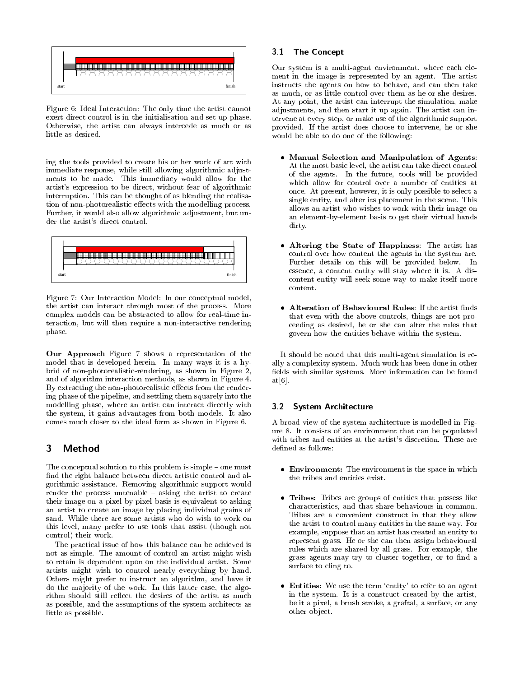

Figure 6: Ideal Interaction: The only time the artist cannot exert direct control is in the initialisation and set-up phase. Otherwise, the artist can always intercede as much or as little as desired.

ing the tools provided to create his or her work of art with immediate response, while still allowing algorithmic adjustments to be made. This immediacy would allow for the artist's expression to be direct, without fear of algorithmic interruption. This can be thought of as blending the realisation of non-photorealistic effects with the modelling process. Further, it would also allow algorithmic adjustment, but under the artist's direct control.



Figure 7: Our Interaction Model: In our conceptual model, the artist can interact through most of the process. More complex models can be abstracted to allow for real-time interaction, but will then require a non-interactive rendering phase.

Our Approach Figure 7 shows a representation of the model that is developed herein. In many ways it is a hybrid of non-photorealistic-rendering, as shown in Figure 2, and of algorithm interaction methods, as shown in Figure 4. By extracting the non-photorealistic effects from the rendering phase of the pipeline, and settling them squarely into the modelling phase, where an artist can interact directly with the system, it gains advantages from both models. It also comes much closer to the ideal form as shown in Figure 6.

### 3 Method

The conceptual solution to this problem is simple - one must find the right balance between direct artistic control and algorithmic assistance. Removing algorithmic support would render the process untenable - asking the artist to create their image on a pixel by pixel basis is equivalent to asking an artist to create an image by placing individual grains of sand. While there are some artists who do wish to work on this level, many prefer to use tools that assist (though not control) their work.

The practical issue of how this balance can be achieved is not as simple. The amount of control an artist might wish to retain is dependent upon on the individual artist. Some artists might wish to control nearly everything by hand. Others might prefer to instruct an algorithm, and have it do the majority of the work. In this latter case, the algorithm should still reflect the desires of the artist as much as possible, and the assumptions of the system architects as little as possible.

# 3.1 The Concept

Our system is a multi-agent environment, where each element in the image is represented by an agent. The artist instructs the agents on how to behave, and can then take as much, or as little control over them as he or she desires. At any point, the artist can interrupt the simulation, make adjustments, and then start it up again. The artist can intervene at every step, or make use of the algorithmic support provided. If the artist does choose to intervene, he or she would be able to do one of the following:

- Manual Selection and Manipulation of Agents: At the most basic level, the artist can take direct control of the agents. In the future, tools will be provided which allow for control over a number of entities at once. At present, however, it is only possible to select a single entity, and alter its placement in the scene. This allows an artist who wishes to work with their image on an element-by-element basis to get their virtual hands dirty.
- Altering the State of Happiness: The artist has control over how content the agents in the system are. Further details on this will be provided below. In essence, a content entity will stay where it is. A discontent entity will seek some way to make itself more content.
- Alteration of Behavioural Rules: If the artist finds that even with the above controls, things are not proceeding as desired, he or she can alter the rules that govern how the entities behave within the system.

It should be noted that this multi-agent simulation is really a complexity system. Much work has been done in other fields with similar systems. More information can be found  $at[6]$ .

#### System Architecture 3.2

A broad view of the system architecture is modelled in Figure 8. It consists of an environment that can be populated with tribes and entities at the artist's discretion. These are defined as follows:

- Environment: The environment is the space in which the tribes and entities exist.
- Tribes: Tribes are groups of entities that possess like characteristics, and that share behaviours in common. Tribes are a convenient construct in that they allow the artist to control many entities in the same way. For example, suppose that an artist has created an entity to represent grass. He or she can then assign behavioural rules which are shared by all grass. For example, the grass agents may try to cluster together, or to find a surface to cling to.
- Entities: We use the term 'entity' to refer to an agent in the system. It is a construct created by the artist, be it a pixel, a brush stroke, a graftal, a surface, or any other object.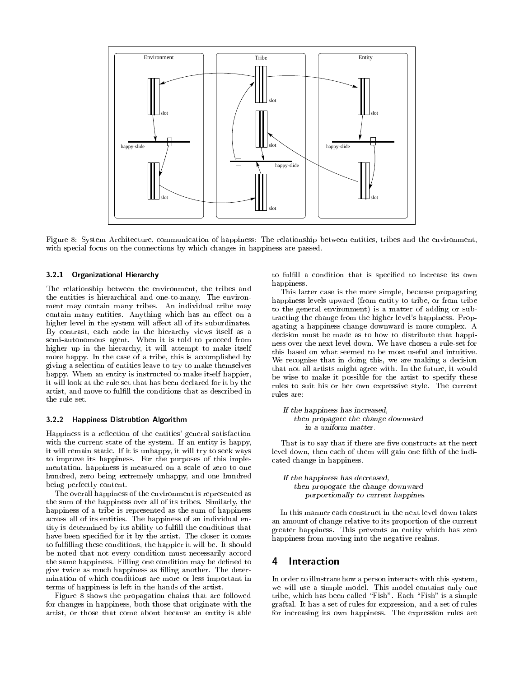

Figure 8: System Architecture, communication of happiness: The relationship between entities, tribes and the environment, with special focus on the connections by which changes in happiness are passed.

#### $3.2.1$ **Organizational Hierarchy**

The relationship between the environment, the tribes and the entities is hierarchical and one-to-many. The environment may contain many tribes. An individual tribe may contain many entities. Anything which has an effect on a higher level in the system will affect all of its subordinates. By contrast, each node in the hierarchy views itself as a semi-autonomous agent. When it is told to proceed from higher up in the hierarchy, it will attempt to make itself more happy. In the case of a tribe, this is accomplished by giving a selection of entities leave to try to make themselves happy. When an entity is instructed to make itself happier, it will look at the rule set that has been declared for it by the artist, and move to fulfill the conditions that as described in the rule set.

#### 322 **Happiness Distrubtion Algorithm**

Happiness is a reflection of the entities' general satisfaction with the current state of the system. If an entity is happy, it will remain static. If it is unhappy, it will try to seek ways to improve its happiness. For the purposes of this implementation, happiness is measured on a scale of zero to one hundred, zero being extremely unhappy, and one hundred being perfectly content.

The overall happiness of the environment is represented as the sum of the happiness over all of its tribes. Similarly, the happiness of a tribe is represented as the sum of happiness across all of its entities. The happiness of an individual entity is determined by its ability to fulfill the conditions that have been specified for it by the artist. The closer it comes to fulfilling these conditions, the happier it will be. It should be noted that not every condition must necessarily accord the same happiness. Filling one condition may be defined to give twice as much happiness as filling another. The determination of which conditions are more or less important in terms of happiness is left in the hands of the artist.

Figure 8 shows the propagation chains that are followed for changes in happiness, both those that originate with the artist, or those that come about because an entity is able to fulfill a condition that is specified to increase its own happiness.

This latter case is the more simple, because propagating happiness levels upward (from entity to tribe, or from tribe to the general environment) is a matter of adding or subtracting the change from the higher level's happiness. Propagating a happiness change downward is more complex. A decision must be made as to how to distribute that happiness over the next level down. We have chosen a rule-set for this based on what seemed to be most useful and intuitive. We recognise that in doing this, we are making a decision that not all artists might agree with. In the future, it would be wise to make it possible for the artist to specify these rules to suit his or her own expressive style. The current rules are:

If the happiness has increased, then propagate the change downward in a uniform matter.

That is to say that if there are five constructs at the next level down, then each of them will gain one fifth of the indicated change in happiness.

If the happiness has decreased, then propogate the change downward porportionally to current happines.

In this manner each construct in the next level down takes an amount of change relative to its proportion of the current greater happiness. This prevents an entity which has zero happiness from moving into the negative realms.

### Interaction 4

In order to illustrate how a person interacts with this system, we will use a simple model. This model contains only one tribe, which has been called "Fish". Each "Fish" is a simple graftal. It has a set of rules for expression, and a set of rules for increasing its own happiness. The expression rules are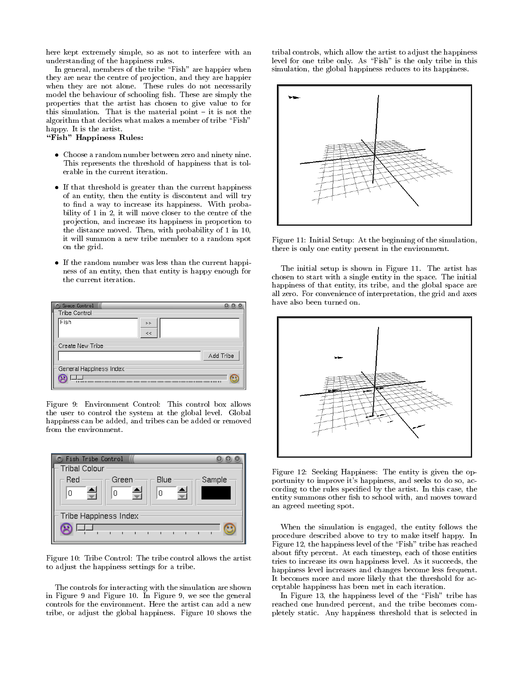here kept extremely simple, so as not to interfere with an understanding of the happiness rules.

In general, members of the tribe "Fish" are happier when they are near the centre of projection, and they are happier when they are not alone. These rules do not necessarily model the behaviour of schooling fish. These are simply the properties that the artist has chosen to give value to for this simulation. That is the material point - it is not the algorithm that decides what makes a member of tribe "Fish" happy. It is the artist.

"Fish" Happiness Rules:

- Choose a random number between zero and ninety nine. This represents the threshold of happiness that is tolerable in the current iteration.
- If that threshold is greater than the current happiness of an entity, then the entity is discontent and will try to find a way to increase its happiness. With probability of 1 in 2, it will move closer to the centre of the projection, and increase its happiness in proportion to the distance moved. Then, with probability of 1 in 10, it will summon a new tribe member to a random spot on the grid.
- If the random number was less than the current happiness of an entity, then that entity is happy enough for the current iteration.



Figure 9: Environment Control: This control box allows the user to control the system at the global level. Global happiness can be added, and tribes can be added or removed from the environment.



Figure 10: Tribe Control: The tribe control allows the artist to adjust the happiness settings for a tribe.

The controls for interacting with the simulation are shown in Figure 9 and Figure 10. In Figure 9, we see the general controls for the environment. Here the artist can add a new tribe, or adjust the global happiness. Figure 10 shows the tribal controls, which allow the artist to adjust the happiness level for one tribe only. As "Fish" is the only tribe in this simulation, the global happiness reduces to its happiness.



Figure 11: Initial Setup: At the beginning of the simulation, there is only one entity present in the environment.

The initial setup is shown in Figure 11. The artist has chosen to start with a single entity in the space. The initial happiness of that entity, its tribe, and the global space are all zero. For convenience of interpretation, the grid and axes have also been turned on.



Figure 12: Seeking Happiness: The entity is given the opportunity to improve it's happiness, and seeks to do so, according to the rules specified by the artist. In this case, the entity summons other fish to school with, and moves toward an agreed meeting spot.

When the simulation is engaged, the entity follows the procedure described above to try to make itself happy. In Figure 12, the happiness level of the "Fish" tribe has reached about fifty percent. At each timestep, each of those entities tries to increase its own happiness level. As it succeeds, the happiness level increases and changes become less frequent. It becomes more and more likely that the threshold for acceptable happiness has been met in each iteration.

In Figure 13, the happiness level of the "Fish" tribe has reached one hundred percent, and the tribe becomes completely static. Any happiness threshold that is selected in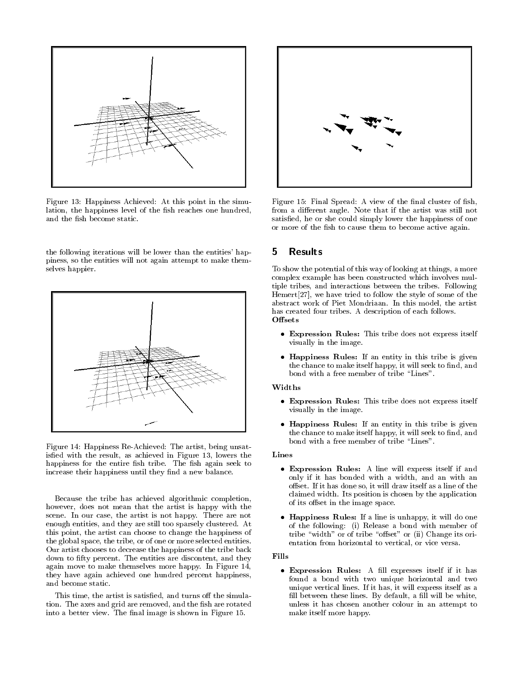

Figure 13: Happiness Achieved: At this point in the simulation, the happiness level of the fish reaches one hundred, and the fish become static.

the following iterations will be lower than the entities' happiness, so the entities will not again attempt to make themselves happier.



Figure 14: Happiness Re-Achieved: The artist, being unsatisfied with the result, as achieved in Figure 13, lowers the happiness for the entire fish tribe. The fish again seek to increase their happiness until they find a new balance.

Because the tribe has achieved algorithmic completion, however, does not mean that the artist is happy with the scene. In our case, the artist is not happy. There are not enough entities, and they are still too sparsely clustered. At this point, the artist can choose to change the happiness of the global space, the tribe, or of one or more selected entities. Our artist chooses to decrease the happiness of the tribe back down to fifty percent. The entities are discontent, and they again move to make themselves more happy. In Figure 14, they have again achieved one hundred percent happiness, and become static.

This time, the artist is satisfied, and turns off the simulation. The axes and grid are removed, and the fish are rotated into a better view. The final image is shown in Figure 15.



Figure 15: Final Spread: A view of the final cluster of fish, from a different angle. Note that if the artist was still not satisfied, he or she could simply lower the happiness of one or more of the fish to cause them to become active again.

### **Results** 5.

To show the potential of this way of looking at things, a more complex example has been constructed which involves multiple tribes, and interactions between the tribes. Following  $Hemert[27]$ , we have tried to follow the style of some of the abstract work of Piet Mondriaan. In this model, the artist has created four tribes. A description of each follows. Offsets

- Expression Rules: This tribe does not express itself visually in the image.
- Happiness Rules: If an entity in this tribe is given the chance to make itself happy, it will seek to find, and bond with a free member of tribe "Lines".

# Widths

- Expression Rules: This tribe does not express itself visually in the image.
- Happiness Rules: If an entity in this tribe is given the chance to make itself happy, it will seek to find, and bond with a free member of tribe "Lines".

# Lines

- Expression Rules: A line will express itself if and only if it has bonded with a width, and an with an offset. If it has done so, it will draw itself as a line of the claimed width. Its position is chosen by the application of its offset in the image space.
- Happiness Rules: If a line is unhappy, it will do one of the following: (i) Release a bond with member of tribe "width" or of tribe "offset" or (ii) Change its orientation from horizontal to vertical, or vice versa.

# Fills

• Expression Rules: A fill expresses itself if it has found a bond with two unique horizontal and two unique vertical lines. If it has, it will express itself as a fill between these lines. By default, a fill will be white, unless it has chosen another colour in an attempt to make itself more happy.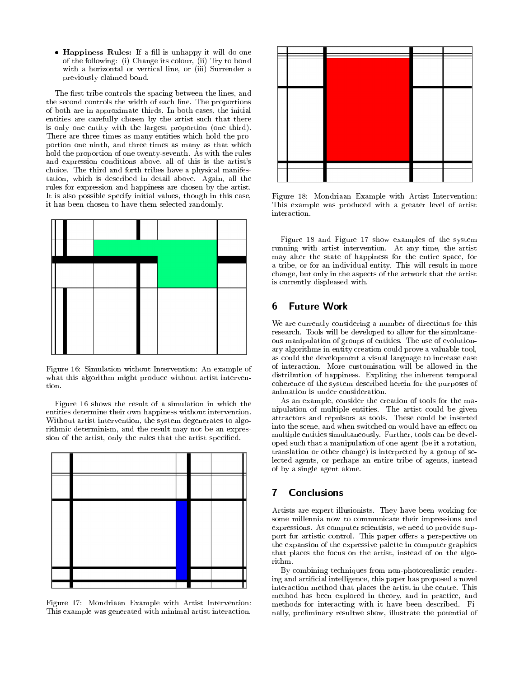• Happiness Rules: If a fill is unhappy it will do one of the following: (i) Change its colour, (ii) Try to bond with a horizontal or vertical line, or (iii) Surrender a previously claimed bond.

The first tribe controls the spacing between the lines, and the second controls the width of each line. The proportions of both are in approximate thirds. In both cases, the initial entities are carefully chosen by the artist such that there is only one entity with the largest proportion (one third). There are three times as many entities which hold the proportion one ninth, and three times as many as that which hold the proportion of one twenty-seventh. As with the rules and expression conditions above, all of this is the artist's choice. The third and forth tribes have a physical manifestation, which is described in detail above. Again, all the rules for expression and happiness are chosen by the artist. It is also possible specify initial values, though in this case, it has been chosen to have them selected randomly.



Figure 16: Simulation without Intervention: An example of what this algorithm might produce without artist intervention.

Figure 16 shows the result of a simulation in which the entities determine their own happiness without intervention. Without artist intervention, the system degenerates to algorithmic determinism, and the result may not be an expression of the artist, only the rules that the artist specified.



Figure 17: Mondriaan Example with Artist Intervention: This example was generated with minimal artist interaction.



Figure 18: Mondriaan Example with Artist Intervention: This example was produced with a greater level of artist interaction.

Figure 18 and Figure 17 show examples of the system running with artist intervention. At any time, the artist may alter the state of happiness for the entire space, for a tribe, or for an individual entity. This will result in more change, but only in the aspects of the artwork that the artist is currently displeased with.

### **Future Work** 6

We are currently considering a number of directions for this research. Tools will be developed to allow for the simultaneous manipulation of groups of entities. The use of evolutionary algorithms in entity creation could prove a valuable tool, as could the development a visual language to increase ease of interaction. More customisation will be allowed in the distribution of happiness. Expliting the inherent temporal coherence of the system described herein for the purposes of animation is under consideration.

As an example, consider the creation of tools for the manipulation of multiple entities. The artist could be given attractors and repulsors as tools. These could be inserted into the scene, and when switched on would have an effect on multiple entities simultaneously. Further, tools can be developed such that a manipulation of one agent (be it a rotation, translation or other change) is interpreted by a group of selected agents, or perhaps an entire tribe of agents, instead of by a single agent alone.

### $\overline{7}$ **Conclusions**

Artists are expert illusionists. They have been working for some millennia now to communicate their impressions and expressions. As computer scientists, we need to provide support for artistic control. This paper offers a perspective on the expansion of the expressive palette in computer graphics that places the focus on the artist, instead of on the algorithm.

By combining techniques from non-photorealistic rendering and artificial intelligence, this paper has proposed a novel interaction method that places the artist in the centre. This method has been explored in theory, and in practice, and methods for interacting with it have been described. Finally, preliminary resultwe show, illustrate the potential of